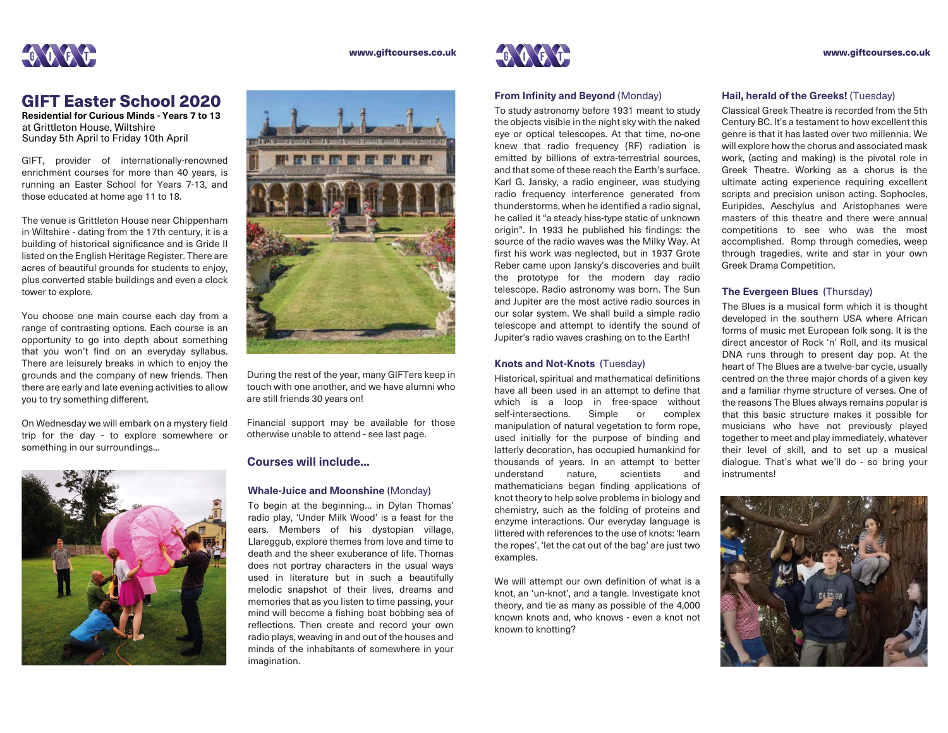

#### www.giftcourses.co.uk

**Residential for Curious Minds - Years 7 to 13** at Grittleton House, Wiltshire Sunday 5th April to Friday 10th April

GIFT, provider of internationally-renowned enrichment courses for more than 40 years, is running an Easter School for Years 7-13, and those educated at home age 11 to 18.

The venue is Grittleton House near Chippenham in Wiltshire - dating from the 17th century, it is a building of historical significance and is Gride II listed on the English Heritage Register. There are acres of beautiful grounds for students to enjoy, plus converted stable buildings and even a clock tower to explore.

You choose one main course each day from a range of contrasting options. Each course is an opportunity to go into depth about something that you won't find on an everyday syllabus. There are leisurely breaks in which to enjoy the grounds and the company of new friends. Then there are early and late evening activities to allow you to try something different.

On Wednesday we will embark on a mystery field trip for the day - to explore somewhere or something in our surroundings...





During the rest of the year, many GIFTers keep in touch with one another, and we have alumni who are still friends 30 years on!

Financial support may be available for those otherwise unable to attend - see last page.

# **Courses will include...**

#### **Whale-Juice and Moonshine** (Monday)

To begin at the beginning… in Dylan Thomas' radio play, 'Under Milk Wood' is a feast for the ears. Members of his dystopian village, Llareggub, explore themes from love and time to death and the sheer exuberance of life. Thomas does not portray characters in the usual ways used in literature but in such a beautifully melodic snapshot of their lives, dreams and memories that as you listen to time passing, your mind will become a fishing boat bobbing sea of reflections. Then create and record your own radio plays, weaving in and out of the houses and minds of the inhabitants of somewhere in your imagination.



#### **From Infinity and Beyond (Monday)**

To study astronomy before 1931 meant to study the objects visible in the night sky with the naked eye or optical telescopes. At that time, no-one knew that radio frequency (RF) radiation is emitted by billions of extra-terrestrial sources, and that some of these reach the Earth's surface. Karl G. Jansky, a radio engineer, was studying radio frequency interference generated from thunderstorms, when he identified a radio signal, he called it "a steady hiss-type static of unknown origin". In 1933 he published his findings: the source of the radio waves was the Milky Way. At first his work was neglected, but in 1937 Grote Reber came upon Jansky's discoveries and built the prototype for the modern day radio telescope. Radio astronomy was born. The Sun and Jupiter are the most active radio sources in our solar system. We shall build a simple radio telescope and attempt to identify the sound of Jupiter's radio waves crashing on to the Earth!

# **Knots and Not-Knots** (Tuesday)

Historical, spiritual and mathematical definitions have all been used in an attempt to define that which is a loop in free-space without self-intersections. Simple or complex manipulation of natural vegetation to form rope, used initially for the purpose of binding and latterly decoration, has occupied humankind for thousands of years. In an attempt to better understand nature, scientists and mathematicians began finding applications of knot theory to help solve problems in biology and chemistry, such as the folding of proteins and enzyme interactions. Our everyday language is littered with references to the use of knots: 'learn the ropes', 'let the cat out of the bag' are just two examples.

We will attempt our own definition of what is a knot, an 'un-knot', and a tangle. Investigate knot theory, and tie as many as possible of the 4,000 known knots and, who knows - even a knot not known to knotting?

#### www.giftcourses.co.uk

## **Hail, herald of the Greeks!** (Tuesday)

Classical Greek Theatre is recorded from the 5th Century BC. It's a testament to how excellent this genre is that it has lasted over two millennia. We will explore how the chorus and associated mask work, (acting and making) is the pivotal role in Greek Theatre. Working as a chorus is the ultimate acting experience requiring excellent scripts and precision unison acting. Sophocles, Euripides, Aeschylus and Aristophanes were masters of this theatre and there were annual competitions to see who was the most accomplished. Romp through comedies, weep through tragedies, write and star in your own Greek Drama Competition.

## **The Evergeen Blues** (Thursday)

The Blues is a musical form which it is thought developed in the southern USA where African forms of music met European folk song. It is the direct ancestor of Rock 'n' Roll, and its musical DNA runs through to present day pop. At the heart of The Blues are a twelve-bar cycle, usually centred on the three major chords of a given key and a familiar rhyme structure of verses. One of the reasons The Blues always remains popular is that this basic structure makes it possible for musicians who have not previously played together to meet and play immediately, whatever their level of skill, and to set up a musical dialogue. That's what we'll do - so bring your instruments!